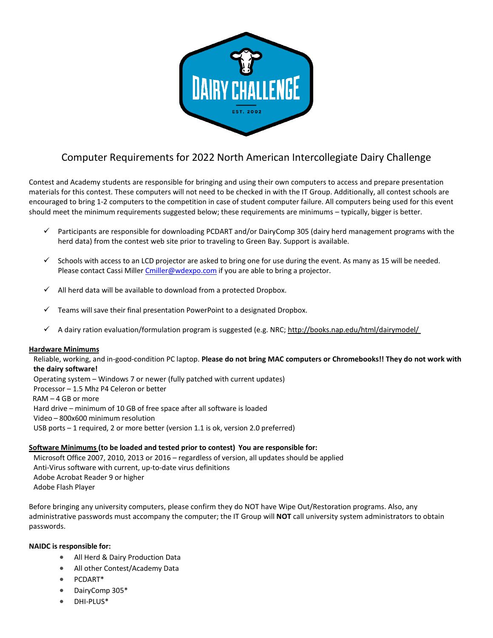

# Computer Requirements for 2022 North American Intercollegiate Dairy Challenge

Contest and Academy students are responsible for bringing and using their own computers to access and prepare presentation materials for this contest. These computers will not need to be checked in with the IT Group. Additionally, all contest schools are encouraged to bring 1-2 computers to the competition in case of student computer failure. All computers being used for this event should meet the minimum requirements suggested below; these requirements are minimums – typically, bigger is better.

- $\checkmark$  Participants are responsible for downloading PCDART and/or DairyComp 305 (dairy herd management programs with the herd data) from the contest web site prior to traveling to Green Bay. Support is available.
- $\checkmark$  Schools with access to an LCD projector are asked to bring one for use during the event. As many as 15 will be needed. Please contact Cassi Mille[r Cmiller@wdexpo.com](mailto:Cmiller@wdexpo.com) if you are able to bring a projector.
- $\checkmark$  All herd data will be available to download from a protected Dropbox.
- Teams will save their final presentation PowerPoint to a designated Dropbox.
- A dairy ration evaluation/formulation program is suggested (e.g. NRC;<http://books.nap.edu/html/dairymodel/>

#### **Hardware Minimums**

Reliable, working, and in-good-condition PC laptop. **Please do not bring MAC computers or Chromebooks!! They do not work with the dairy software!** 

Operating system – Windows 7 or newer (fully patched with current updates) Processor – 1.5 Mhz P4 Celeron or better RAM – 4 GB or more Hard drive – minimum of 10 GB of free space after all software is loaded Video – 800x600 minimum resolution USB ports – 1 required, 2 or more better (version 1.1 is ok, version 2.0 preferred)

#### **Software Minimums (to be loaded and tested prior to contest) You are responsible for:**

Microsoft Office 2007, 2010, 2013 or 2016 – regardless of version, all updates should be applied Anti-Virus software with current, up-to-date virus definitions Adobe Acrobat Reader 9 or higher Adobe Flash Player

Before bringing any university computers, please confirm they do NOT have Wipe Out/Restoration programs. Also, any administrative passwords must accompany the computer; the IT Group will **NOT** call university system administrators to obtain passwords.

#### **NAIDC is responsible for:**

- All Herd & Dairy Production Data
- All other Contest/Academy Data
- PCDART\*
- DairyComp 305\*
- DHI-PLUS\*